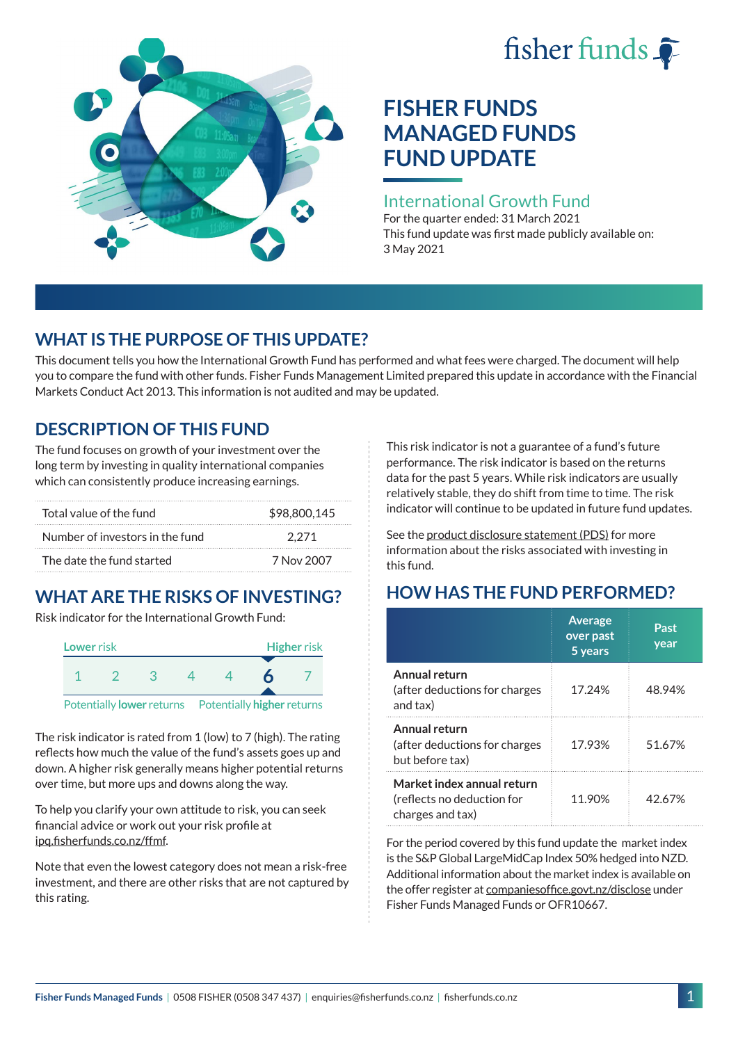# fisher funds  $\hat{\bullet}$



# **FISHER FUNDS MANAGED FUNDS FUND UPDATE**

### International Growth Fund

For the quarter ended: 31 March 2021 This fund update was first made publicly available on: 3 May 2021

# **WHAT IS THE PURPOSE OF THIS UPDATE?**

This document tells you how the International Growth Fund has performed and what fees were charged. The document will help you to compare the fund with other funds. Fisher Funds Management Limited prepared this update in accordance with the Financial Markets Conduct Act 2013. This information is not audited and may be updated.

# **DESCRIPTION OF THIS FUND**

The fund focuses on growth of your investment over the long term by investing in quality international companies which can consistently produce increasing earnings.

| Total value of the fund         | \$98,800,145 |
|---------------------------------|--------------|
| Number of investors in the fund | 2.271        |
| The date the fund started       | 7 Nov 2007   |

# **WHAT ARE THE RISKS OF INVESTING?**

Risk indicator for the International Growth Fund:



The risk indicator is rated from 1 (low) to 7 (high). The rating reflects how much the value of the fund's assets goes up and down. A higher risk generally means higher potential returns over time, but more ups and downs along the way.

To help you clarify your own attitude to risk, you can seek financial advice or work out your risk profile at [ipq.fisherfunds.co.nz/ffmf](https://ipq.fisherfunds.co.nz/ffmf).

Note that even the lowest category does not mean a risk-free investment, and there are other risks that are not captured by this rating.

This risk indicator is not a guarantee of a fund's future performance. The risk indicator is based on the returns data for the past 5 years. While risk indicators are usually relatively stable, they do shift from time to time. The risk indicator will continue to be updated in future fund updates.

See the [product disclosure statement \(PDS\)](https://fisherfunds.co.nz/assets/PDS/Fisher-Funds-Managed-Funds-PDS.pdf) for more information about the risks associated with investing in this fund.

# **HOW HAS THE FUND PERFORMED?**

|                                                                              | <b>Average</b><br>over past<br>5 years | Past<br>year |
|------------------------------------------------------------------------------|----------------------------------------|--------------|
| Annual return<br>(after deductions for charges<br>and tax)                   | 17.24%                                 | 48.94%       |
| Annual return<br>(after deductions for charges<br>but before tax)            | 17.93%                                 | 51.67%       |
| Market index annual return<br>(reflects no deduction for<br>charges and tax) | 11.90%                                 | 42.67%       |

For the period covered by this fund update the market index is the S&P Global LargeMidCap Index 50% hedged into NZD. Additional information about the market index is available on the offer register at [companiesoffice.govt.nz/disclose](http://companiesoffice.govt.nz/disclose) under Fisher Funds Managed Funds or OFR10667.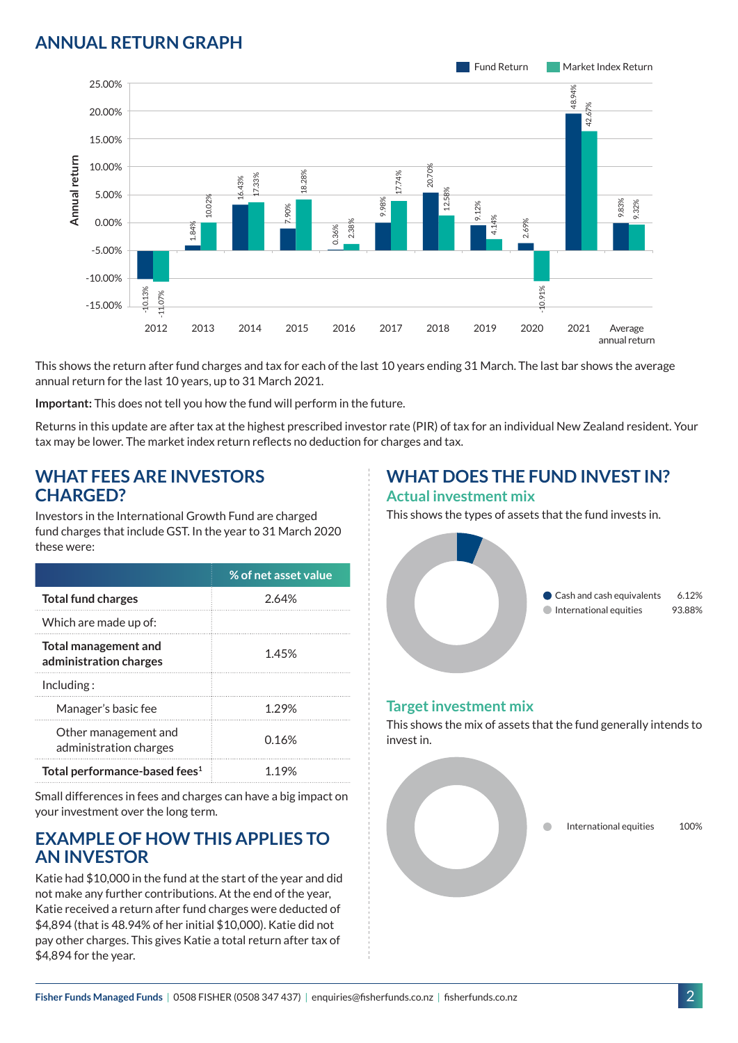## **ANNUAL RETURN GRAPH**



This shows the return after fund charges and tax for each of the last 10 years ending 31 March. The last bar shows the average annual return for the last 10 years, up to 31 March 2021.

**Important:** This does not tell you how the fund will perform in the future.

Returns in this update are after tax at the highest prescribed investor rate (PIR) of tax for an individual New Zealand resident. Your tax may be lower. The market index return reflects no deduction for charges and tax.

#### **WHAT FEES ARE INVESTORS CHARGED?**

Investors in the International Growth Fund are charged fund charges that include GST. In the year to 31 March 2020 these were:

|                                                | % of net asset value |
|------------------------------------------------|----------------------|
| <b>Total fund charges</b>                      | 2.64%                |
| Which are made up of:                          |                      |
| Total management and<br>administration charges | 1.45%                |
| Inding:                                        |                      |
| Manager's basic fee                            | 1.29%                |
| Other management and<br>administration charges | 0.16%                |
| Total performance-based fees <sup>1</sup>      | 1 19%                |

Small differences in fees and charges can have a big impact on your investment over the long term.

#### **EXAMPLE OF HOW THIS APPLIES TO AN INVESTOR**

Katie had \$10,000 in the fund at the start of the year and did not make any further contributions. At the end of the year, Katie received a return after fund charges were deducted of \$4,894 (that is 48.94% of her initial \$10,000). Katie did not pay other charges. This gives Katie a total return after tax of \$4,894 for the year.

# **WHAT DOES THE FUND INVEST IN?**

#### **Actual investment mix**

This shows the types of assets that the fund invests in.



#### **Target investment mix**

This shows the mix of assets that the fund generally intends to invest in.